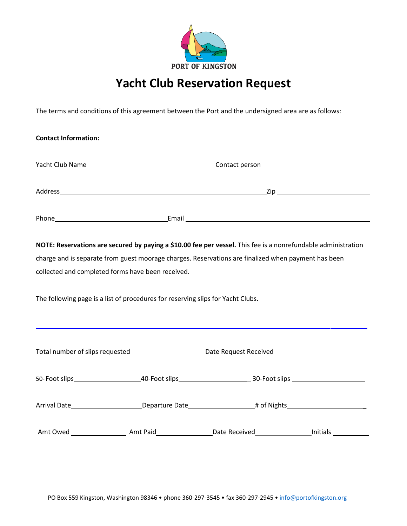

## **Yacht Club Reservation Request**

The terms and conditions of this agreement between the Port and the undersigned area are as follows:

| <b>Contact Information:</b>                                                                                    |                                                                                                                                                                                                                                           |  |  |  |  |  |
|----------------------------------------------------------------------------------------------------------------|-------------------------------------------------------------------------------------------------------------------------------------------------------------------------------------------------------------------------------------------|--|--|--|--|--|
|                                                                                                                |                                                                                                                                                                                                                                           |  |  |  |  |  |
|                                                                                                                |                                                                                                                                                                                                                                           |  |  |  |  |  |
|                                                                                                                |                                                                                                                                                                                                                                           |  |  |  |  |  |
|                                                                                                                | NOTE: Reservations are secured by paying a \$10.00 fee per vessel. This fee is a nonrefundable administration                                                                                                                             |  |  |  |  |  |
|                                                                                                                | charge and is separate from guest moorage charges. Reservations are finalized when payment has been                                                                                                                                       |  |  |  |  |  |
|                                                                                                                | collected and completed forms have been received.                                                                                                                                                                                         |  |  |  |  |  |
|                                                                                                                | The following page is a list of procedures for reserving slips for Yacht Clubs.                                                                                                                                                           |  |  |  |  |  |
| Total number of slips requested________________________  Date Request Received _______________________________ |                                                                                                                                                                                                                                           |  |  |  |  |  |
|                                                                                                                |                                                                                                                                                                                                                                           |  |  |  |  |  |
|                                                                                                                | Arrival Date <b>Mate</b> Mate <b>Mate Arrival Date Mate Arrival Date Mate Arrival Date Mate Arrival Date Arrival Date Arrival Date Arrival Date Arrival Date Arrival Date Arrival Date Arrival Date Arrival Date Arrival Date Arrival</b> |  |  |  |  |  |
|                                                                                                                | Amt Owed ________________________Amt Paid__________________Date Received____________________Initials ____________                                                                                                                         |  |  |  |  |  |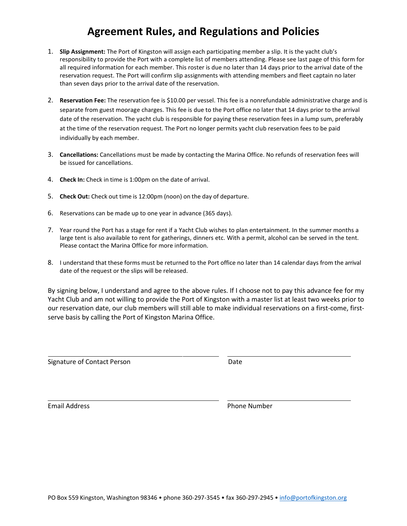## **Agreement Rules, and Regulations and Policies**

- 1. **Slip Assignment:** The Port of Kingston will assign each participating member a slip. It is the yacht club's responsibility to provide the Port with a complete list of members attending. Please see last page of this form for all required information for each member. This roster is due no later than 14 days prior to the arrival date of the reservation request. The Port will confirm slip assignments with attending members and fleet captain no later than seven days prior to the arrival date of the reservation.
- 2. **Reservation Fee:** The reservation fee is \$10.00 per vessel. This fee is a nonrefundable administrative charge and is separate from guest moorage charges. This fee is due to the Port office no later that 14 days prior to the arrival date of the reservation. The yacht club is responsible for paying these reservation fees in a lump sum, preferably at the time of the reservation request. The Port no longer permits yacht club reservation fees to be paid individually by each member.
- 3. **Cancellations:** Cancellations must be made by contacting the Marina Office. No refunds of reservation fees will be issued for cancellations.
- 4. **Check In:** Check in time is 1:00pm on the date of arrival.
- 5. **Check Out:** Check out time is 12:00pm (noon) on the day of departure.
- 6. Reservations can be made up to one year in advance (365 days).
- 7. Year round the Port has a stage for rent if a Yacht Club wishes to plan entertainment. In the summer months a large tent is also available to rent for gatherings, dinners etc. With a permit, alcohol can be served in the tent. Please contact the Marina Office for more information.
- 8. I understand that these forms must be returned to the Port office no later than 14 calendar days from the arrival date of the request or the slips will be released.

By signing below, I understand and agree to the above rules. If I choose not to pay this advance fee for my Yacht Club and am not willing to provide the Port of Kingston with a master list at least two weeks prior to our reservation date, our club members will still able to make individual reservations on a first-come, firstserve basis by calling the Port of Kingston Marina Office.

Signature of Contact Person **Date** 

Email Address **Phone Number**